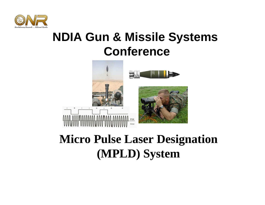

## **NDIA Gun & Missile Systems Conference**



### **Micro Pulse Laser Designation (MPLD) System**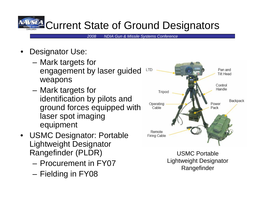## Current State of Ground Designators

*2008 NDIA Gun & Missile Systems Conference*

- • Designator Use:
	- **Links of the Company**  Mark targets for engagement by laser guided weapons
	- **Links of the Company**  Mark targets for identification by pilots and ground forces equipped with laser spot imaging equipment
- USMC Designator: Portable Lightweight Designator Rangefinder (PLDR)
	- Procurement in FY07
	- –Fielding in FY08



USMC Portable Lightweight Designator Rangefinder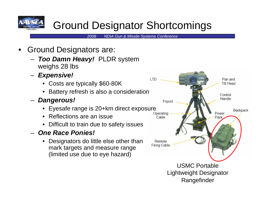

#### Ground Designator Shortcomings

- • Ground Designators are:
	- *Too Damn Heavy!* PLDR system weighs 28 lbs
	- – *Expensive!*
		- Costs are typically \$60-80K
		- •Battery refresh is also a consideration
	- *Dangerous!*
		- Eyesafe range is 20+km direct exposure
		- •Reflections are an issue
		- Difficult to train due to safety issues
	- *One Race Ponies!*
		- • Designators do little else other than mark targets and measure range (limited use due to eye hazard)

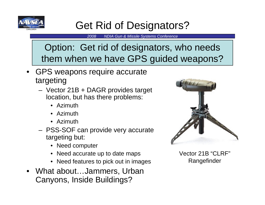

#### Get Rid of Designators?

*2008 NDIA Gun & Missile Systems Conference*

#### Option: Get rid of designators, who needs them when we have GPS guided weapons?

- GPS weapons require accurate targeting
	- Vector 21B + DAGR provides target location, but has there problems:
		- Azimuth
		- Azimuth
		- Azimuth
	- PSS-SOF can provide very accurate targeting but:
		- Need computer
		- Need accurate up to date maps
		- Need features to pick out in images
- What about…Jammers, Urban Canyons, Inside Buildings?



Vector 21B "CLRF" Rangefinder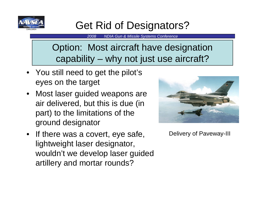

#### Get Rid of Designators?

*2008 NDIA Gun & Missile Systems Conference*

Option: Most aircraft have designation capability – why not just use aircraft?

- You still need to get the pilot's eyes on the target
- Most laser guided weapons are air delivered, but this is due (in part) to the limitations of the ground designator
- If there was a covert, eye safe, lightweight laser designator, wouldn't we develop laser guided artillery and mortar rounds?



Delivery of Paveway-III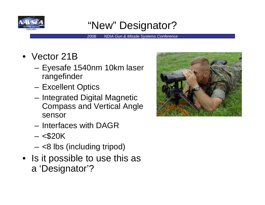

#### "New" Designator?

- Vector 21B
	- – Eyesafe 1540nm 10km laser rangefinder
	- **Links of the Company** Excellent Optics
	- and the state of the Integrated Digital Magnetic Compass and Vertical Angle sensor
	- Interfaces with DAGR
	- **Links of the Company** <\$20K
	- and the state of the <8 lbs (including tripod)
- Is it possible to use this as a 'Designator'?

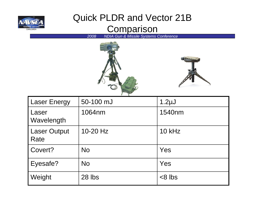

#### Quick PLDR and Vector 21B Comparison





| <b>Laser Energy</b>         | 50-100 mJ  | 1.2 <sub>µ</sub> |
|-----------------------------|------------|------------------|
| Laser<br>Wavelength         | 1064nm     | 1540nm           |
| <b>Laser Output</b><br>Rate | $10-20$ Hz | $10$ kHz         |
| Covert?                     | <b>No</b>  | Yes              |
| Eyesafe?                    | <b>No</b>  | Yes              |
| Weight                      | 28 lbs     | $< 8$ lbs        |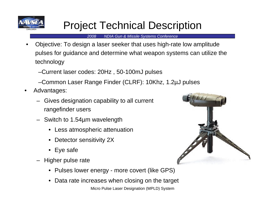

#### Project Technical Description

*2008 NDIA Gun & Missile Systems Conference*

• Objective: To design a laser seeker that uses high-rate low amplitude pulses for guidance and determine what weapon systems can utilize the technology

–Current laser codes: 20Hz , 50-100mJ pulses

–Common Laser Range Finder (CLRF): 10Khz, 1.2µJ pulses

- • Advantages:
	- Gives designation capability to all current rangefinder users
	- Switch to 1.54µm wavelength
		- Less atmospheric attenuation
		- •Detector sensitivity 2X
		- Eye safe
	- Higher pulse rate
		- Pulses lower energy more covert (like GPS)
		- •Data rate increases when closing on the target

Micro Pulse Laser Designation (MPLD) System

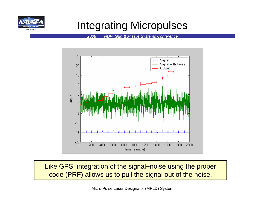

#### Integrating Micropulses

*2008 NDIA Gun & Missile Systems Conference*



Like GPS, integration of the signal+noise using the proper code (PRF) allows us to pull the signal out of the noise.

Micro Pulse Laser Designator (MPLD) System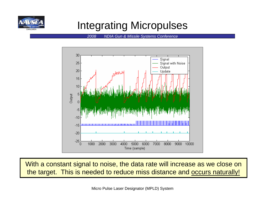

#### Integrating Micropulses

*2008 NDIA Gun & Missile Systems Conference*



With a constant signal to noise, the data rate will increase as we close on the target. This is needed to reduce miss distance and occurs naturally!

Micro Pulse Laser Designator (MPLD) System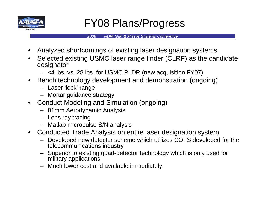

#### FY08 Plans/Progress

- •Analyzed shortcomings of existing laser designation systems
- • Selected existing USMC laser range finder (CLRF) as the candidate designator
	- <4 lbs. vs. 28 lbs. for USMC PLDR (new acquisition FY07)
- • Bench technology development and demonstration (ongoing)
	- Laser 'lock' range
	- Mortar guidance strategy
- Conduct Modeling and Simulation (ongoing)
	- 81mm Aerodynamic Analysis
	- Lens ray tracing
	- Matlab micropulse S/N analysis
- Conducted Trade Analysis on entire laser designation system
	- Developed new detector scheme which utilizes COTS developed for the telecommunications industry
	- Superior to existing quad-detector technology which is only used for military applications
	- Much lower cost and available immediately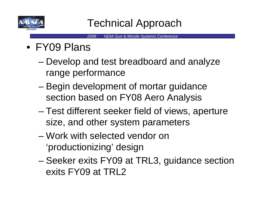

- FY09 Plans
	- and the state of the state Develop and test breadboard and analyze range performance
	- – Begin development of mortar guidance section based on FY08 Aero Analysis
	- and the state of the state Test different seeker field of views, aperture size, and other system parameters
	- Work with selected vendor on 'productionizing' design
	- – Seeker exits FY09 at TRL3, guidance section exits FY09 at TRL2